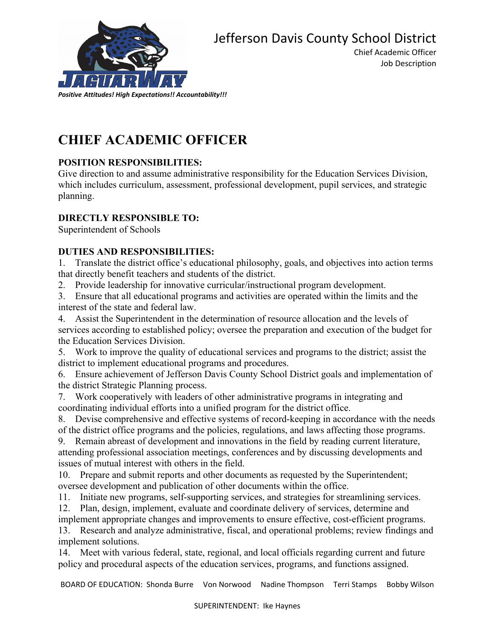

Chief Academic Officer Job Description

# **CHIEF ACADEMIC OFFICER**

# **POSITION RESPONSIBILITIES:**

Give direction to and assume administrative responsibility for the Education Services Division, which includes curriculum, assessment, professional development, pupil services, and strategic planning.

# **DIRECTLY RESPONSIBLE TO:**

Superintendent of Schools

# **DUTIES AND RESPONSIBILITIES:**

1. Translate the district office's educational philosophy, goals, and objectives into action terms that directly benefit teachers and students of the district.

2. Provide leadership for innovative curricular/instructional program development.

3. Ensure that all educational programs and activities are operated within the limits and the interest of the state and federal law.

4. Assist the Superintendent in the determination of resource allocation and the levels of services according to established policy; oversee the preparation and execution of the budget for the Education Services Division.

5. Work to improve the quality of educational services and programs to the district; assist the district to implement educational programs and procedures.

6. Ensure achievement of Jefferson Davis County School District goals and implementation of the district Strategic Planning process.

7. Work cooperatively with leaders of other administrative programs in integrating and coordinating individual efforts into a unified program for the district office.

8. Devise comprehensive and effective systems of record-keeping in accordance with the needs of the district office programs and the policies, regulations, and laws affecting those programs.

9. Remain abreast of development and innovations in the field by reading current literature, attending professional association meetings, conferences and by discussing developments and issues of mutual interest with others in the field.

10. Prepare and submit reports and other documents as requested by the Superintendent; oversee development and publication of other documents within the office.

11. Initiate new programs, self-supporting services, and strategies for streamlining services.

12. Plan, design, implement, evaluate and coordinate delivery of services, determine and implement appropriate changes and improvements to ensure effective, cost-efficient programs.

13. Research and analyze administrative, fiscal, and operational problems; review findings and implement solutions.

14. Meet with various federal, state, regional, and local officials regarding current and future policy and procedural aspects of the education services, programs, and functions assigned.

BOARD OF EDUCATION: Shonda Burre Von Norwood Nadine Thompson Terri Stamps Bobby Wilson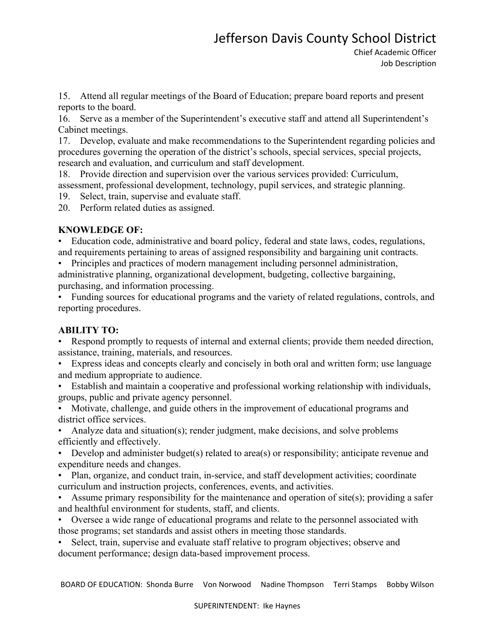# Jefferson Davis County School District

15. Attend all regular meetings of the Board of Education; prepare board reports and present reports to the board.

16. Serve as a member of the Superintendent's executive staff and attend all Superintendent's Cabinet meetings.

17. Develop, evaluate and make recommendations to the Superintendent regarding policies and procedures governing the operation of the district's schools, special services, special projects, research and evaluation, and curriculum and staff development.

18. Provide direction and supervision over the various services provided: Curriculum, assessment, professional development, technology, pupil services, and strategic planning.

19. Select, train, supervise and evaluate staff.

20. Perform related duties as assigned.

#### **KNOWLEDGE OF:**

• Education code, administrative and board policy, federal and state laws, codes, regulations, and requirements pertaining to areas of assigned responsibility and bargaining unit contracts.

• Principles and practices of modern management including personnel administration, administrative planning, organizational development, budgeting, collective bargaining, purchasing, and information processing.

• Funding sources for educational programs and the variety of related regulations, controls, and reporting procedures.

#### **ABILITY TO:**

Respond promptly to requests of internal and external clients; provide them needed direction, assistance, training, materials, and resources.

• Express ideas and concepts clearly and concisely in both oral and written form; use language and medium appropriate to audience.

• Establish and maintain a cooperative and professional working relationship with individuals, groups, public and private agency personnel.

• Motivate, challenge, and guide others in the improvement of educational programs and district office services.

• Analyze data and situation(s); render judgment, make decisions, and solve problems efficiently and effectively.

• Develop and administer budget(s) related to area(s) or responsibility; anticipate revenue and expenditure needs and changes.

• Plan, organize, and conduct train, in-service, and staff development activities; coordinate curriculum and instruction projects, conferences, events, and activities.

• Assume primary responsibility for the maintenance and operation of site(s); providing a safer and healthful environment for students, staff, and clients.

• Oversee a wide range of educational programs and relate to the personnel associated with those programs; set standards and assist others in meeting those standards.

• Select, train, supervise and evaluate staff relative to program objectives; observe and document performance; design data-based improvement process.

BOARD OF EDUCATION: Shonda Burre Von Norwood Nadine Thompson Terri Stamps Bobby Wilson